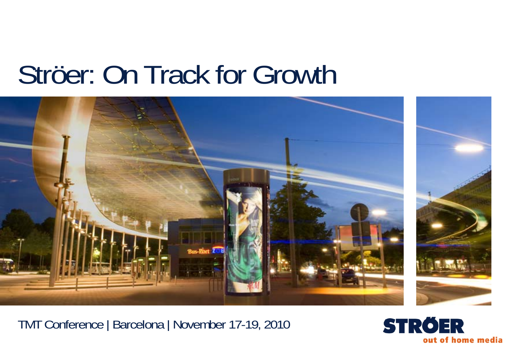# Ströer: On Track for Growth



TMT Conference | Barcelona | November 17-19, 2010

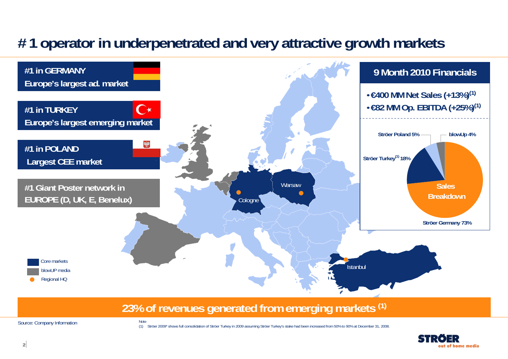# **# 1 operator in underpenetrated and very attractive growth markets**



### **23% of revenues generated from emerging markets (1)**

Source: Company Information

Note

(1) Ströer 2009\* shows full consolidation of Ströer Turkey in 2009 assuming Ströer Turkey's stake had been increased from 50% to 90% at December 31, 2008.

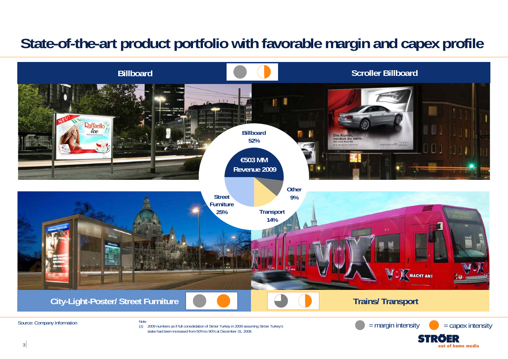# **State-of-the-art product portfolio with favorable margin and capex profile**



out of home media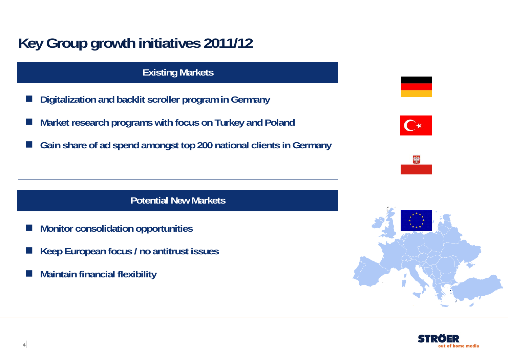# **Key Group growth initiatives 2011/12**

### **Existing Markets**

- E **Digitalization and backlit scroller program in Germany**
- **Market research programs with focus on Turkey and Poland**
- $\mathcal{L}_{\text{max}}$ **Gain share of ad spend amongst top 200 national clients in Germany**





### **Potential New Markets**

- Г **Monitor consolidation opportunities**
- **Keep European focus / no antitrust issues**
- **Maintain financial flexibility**



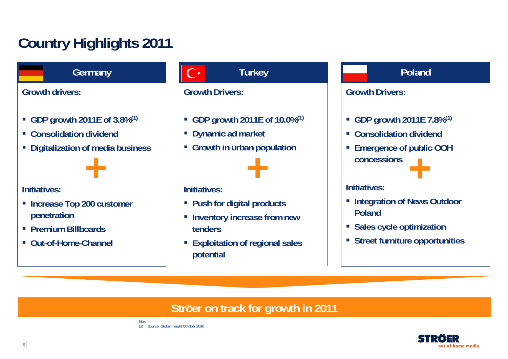# **Country Highlights 2011**

**Germany**

**Growth drivers:**

- **GDP growth 2011E of 3.8%(1)**
- **Consolidation dividend**
- **Digitalization of media business**



### **Initiatives:**

- **Increase Top 200 customer penetration**
- **Premium Billboards**
- **Out-of-Home-Channel**

### **Turkey**

### **Growth Drivers:**

- **GDP growth 2011E of 10.0%(1)**
- **Dynamic ad market**
- **Growth in urban population**



### **Initiatives:**

- **Push for digital products**
- **Example 1 Inventory increase from new tenders**
- **Exploitation of regional sales potential**

### **Poland**

### **Growth Drivers:**

- **GDP growth 2011E 7.8%(1)**
- **Consolidation dividend**
- **Emergence of public OOH concessions+**

### **Initiatives:**

- **Example 2 Integration of News Outdoor Poland**
- **Sales cycle optimization**
- **Street furniture opportunities**

### **Ströer on track for growth in 2011**



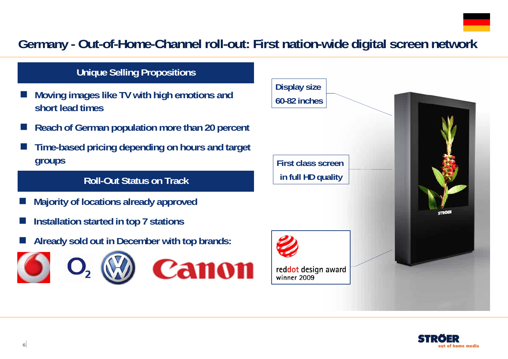# **Germany - Out-of-Home-Channel roll-out: First nation-wide digital screen network**

### **Unique Selling Propositions**

- F. **Moving images like TV with high emotions and short lead times**
- r. **Reach of German population more than 20 percent**
- F. **Time-based pricing depending on hours and target groups**

### **Roll-Out Status on Track**

- $\overline{\phantom{a}}$ **Majority of locations already approved**
- $\overline{\phantom{a}}$ **Installation started in top 7 stations**
- $\overline{\phantom{a}}$ **Already sold out in December with top brands:**









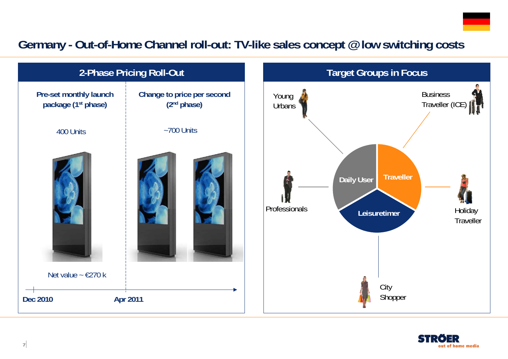## **Germany - Out-of-Home Channel roll-out: TV-like sales concept @ low switching costs**



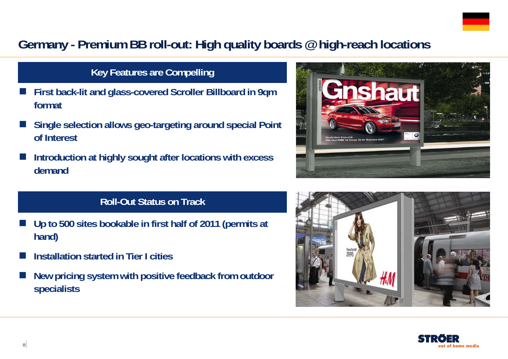

## **Germany - Premium BB roll-out: High quality boards @ high-reach locations**

### **Key Features are Compelling**

- F. **First back-lit and glass-covered Scroller Billboard in 9qm format**
- F. **Single selection allows geo-targeting around special Point of Interest**
- F. **Introduction at highly sought after locations with excess demand**

# **1au** Foto

### **Roll-Out Status on Track**

- $\overline{\phantom{a}}$  **Up to 500 sites bookable in first half of 2011 (permits at hand)**
- F **Installation started in Tier I cities**
- $\overline{\phantom{a}}$  **New pricing system with positive feedback from outdoor specialists**



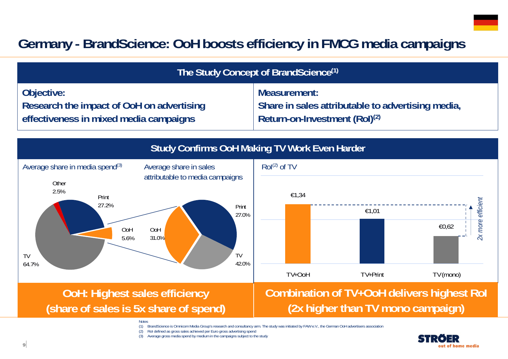# **Germany - BrandScience: OoH boosts efficiency in FMCG media campaigns**

| The Study Concept of BrandScience <sup>(1)</sup>                                                                                                                                                                                                |                                                                                                                |  |  |
|-------------------------------------------------------------------------------------------------------------------------------------------------------------------------------------------------------------------------------------------------|----------------------------------------------------------------------------------------------------------------|--|--|
| Objective:<br>Research the impact of OoH on advertising<br>effectiveness in mixed media campaigns                                                                                                                                               | Measurement:<br>Share in sales attributable to advertising media,<br>Return-on-Investment (RoI) <sup>(2)</sup> |  |  |
| <b>Study Confirms OoH Making TV Work Even Harder</b>                                                                                                                                                                                            |                                                                                                                |  |  |
| Average share in media spend <sup>(3)</sup><br>Average share in sales<br>attributable to media campaigns<br>Other<br>2.5%<br>Print<br>27.2%<br>Print<br>27.0%<br><b>OoH</b><br>OoH<br>31.0%<br>5.6%<br><b>TV</b><br><b>TV</b><br>42.0%<br>64.7% | Rol <sup>(2)</sup> of TV<br>€1,34<br>2x more efficient<br>€1,01<br>€0,62<br>TV+OoH<br>TV+Print<br>TV (mono)    |  |  |
| <b>OoH: Highest sales efficiency</b><br>(share of sales is 5x share of spend)                                                                                                                                                                   | <b>Combination of TV+OoH delivers highest Rol</b><br>(2x higher than TV mono campaign)                         |  |  |
| BrandScience is Omnicom Media Group's research and consultancy arm. The study was initiated by FAW e.V., the German OoH advertisers associatior<br>(1)                                                                                          |                                                                                                                |  |  |

(2) RoI defined as gross sales achieved per Euro gross advertising spend (3) Average gross media spend by medium in the campaigns subject to the study

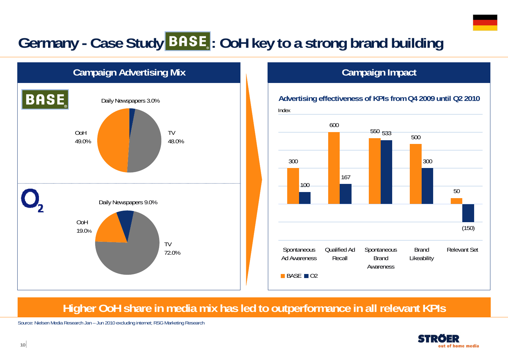# Germany - Case Study **BASE**: OoH key to a strong brand building



### **Campaign Impact**

### **Advertising effectiveness of KPIs from Q4 2009 until Q2 2010**



### **Higher OoH share in media mix has led to outperformance in all relevant KPIs**

Source: Nielsen Media Research Jan – Jun 2010 excluding internet; RSG Marketing Research

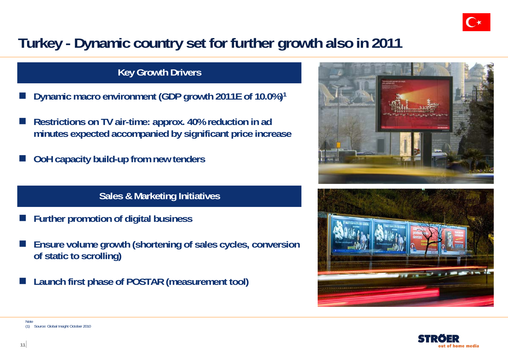

# **Turkey - Dynamic country set for further growth also in 2011**

### **Key Growth Drivers**

- $\overline{\phantom{a}}$ **Dynamic macro environment (GDP growth 2011E of 10.0%)1**
- $\overline{\phantom{a}}$  **Restrictions on TV air-time: approx. 40% reduction in ad minutes expected accompanied by significant price increase**
- $\overline{\phantom{a}}$ **OoH capacity build-up from new tenders**

### **Sales & Marketing Initiatives**

- F. **Further promotion of digital business**
- r. **Ensure volume growth (shortening of sales cycles, conversion of static to scrolling)**
- F. **Launch first phase of POSTAR (measurement tool)**







Note(1) Source: Global Insight October 2010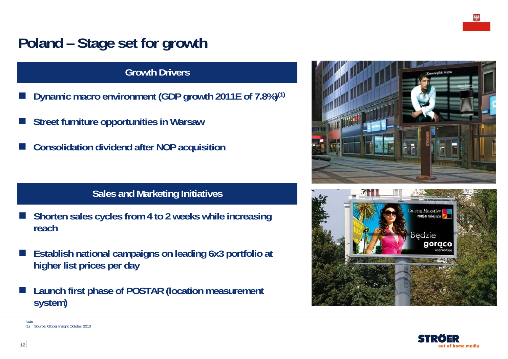# **Poland – Stage set for growth**

### **Growth Drivers**

- F. **Dynamic macro environment (GDP growth 2011E of 7.8%)(1)**
- F. **Street furniture opportunities in Warsaw**
- F. **Consolidation dividend after NOP acquisition**

### **Sales and Marketing Initiatives**

- $\overline{\phantom{a}}$  **Shorten sales cycles from 4 to 2 weeks while increasing reach**
- $\overline{\phantom{a}}$  **Establish national campaigns on leading 6x3 portfolio at higher list prices per day**
- $\overline{\phantom{a}}$  **Launch first phase of POSTAR (location measurement system)**







Note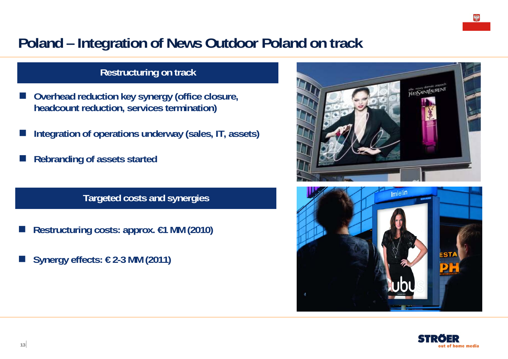# **Poland – Integration of News Outdoor Poland on track**

### **Restructuring on track**

- F **Overhead reduction key synergy (office closure, headcount reduction, services termination)**
- **Integration of operations underway (sales, IT, assets)**
- **Rebranding of assets started**

**Targeted costs and synergies**

- Π **Restructuring costs: approx. €1 MM (2010)**
- Π **Synergy effects: € 2-3 MM (2011)**





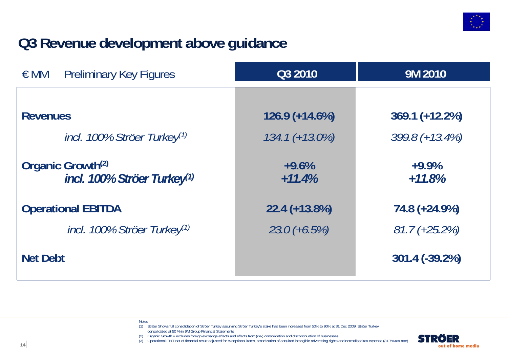

# **Q3 Revenue development above guidance**

| $\in$ MM<br><b>Preliminary Key Figures</b>                               | Q3 2010             | 9M 2010             |
|--------------------------------------------------------------------------|---------------------|---------------------|
|                                                                          |                     |                     |
| <b>Revenues</b>                                                          | $126.9 (+14.6%)$    | $369.1 (+12.2%)$    |
| incl. 100% Ströer Turkey <sup>(1)</sup>                                  | $134.1 (+ 13.0\%)$  | $399.8 (+13.4\%)$   |
| Organic Growth <sup>(2)</sup><br>incl. 100% Ströer Turkey <sup>(1)</sup> | $+9.6%$<br>$+11.4%$ | $+9.9%$<br>$+11.8%$ |
| <b>Operational EBITDA</b>                                                | $22.4 (+13.8%)$     | 74.8 (+24.9%)       |
| incl. 100% Ströer Turkey <sup>(1)</sup>                                  | $23.0 (+6.5%)$      | $81.7 (+25.2%)$     |
| <b>Net Debt</b>                                                          |                     | 301.4 (-39.2%)      |

Notes

- (1) Ströer Shows full consolidation of Ströer Turkey assuming Ströer Turkey's stake had been increased from 50% to 90% at 31 Dec 2009. Ströer Turkey consolidated at 50 % in 9M Group Financial Statements
- (2) Organic Growth = excludes foreign exchange effects and effects from (de-) consolidation and discontinuation of businesses
- (3) Operational EBIT net of financial result adjusted for exceptional items, amortization of acquired intangible advertising rights and normalised tax expense (31.7% tax rate)

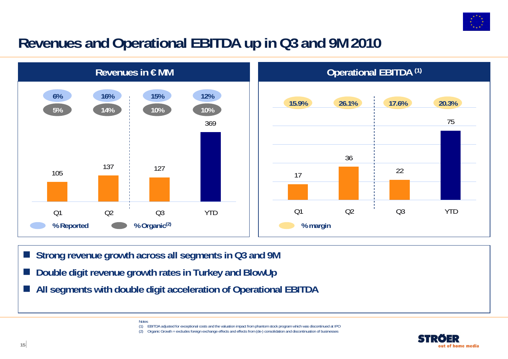

# **Revenues and Operational EBITDA up in Q3 and 9M 2010**



- Г **Strong revenue growth across all segments in Q3 and 9M**
- Г **Double digit revenue growth rates in Turkey and BlowUp**

**Notes** 

Г **All segments with double digit acceleration of Operational EBITDA**

> (1) EBITDA adjusted for exceptional costs and the valuation impact from phantom stock program which was discontinued at IPO (2) Organic Growth = excludes foreign exchange effects and effects from (de-) consolidation and discontinuation of businesses

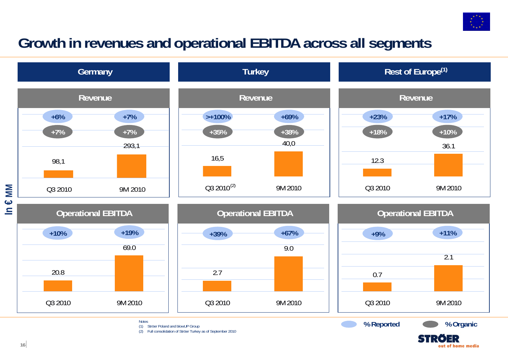

out of home media

# **Growth in revenues and operational EBITDA across all segments**

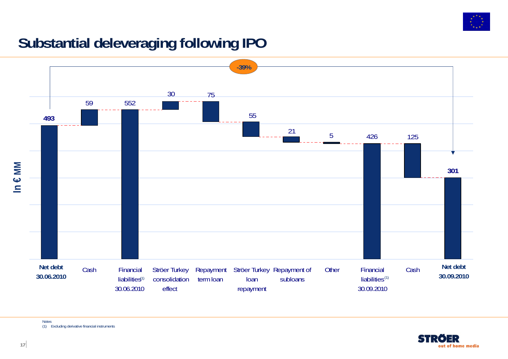

# **Substantial deleveraging following IPO**





Notes(1) Excluding derivative financial instruments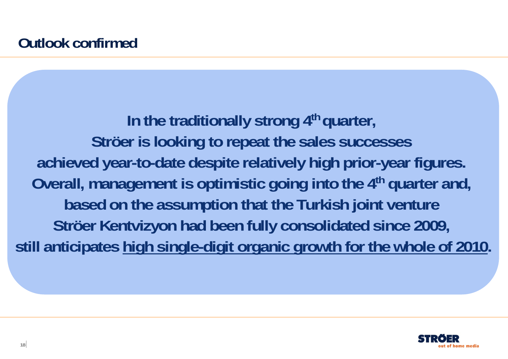In the traditionally strong 4<sup>th</sup> quarter, **Ströer is looking to repeat the sales successes achieved year-to-date despite relatively high prior-year figures. Overall, management is optimistic going into the 4<sup>th</sup> quarter and, based on the assumption that the Turkish joint venture Ströer Kentvizyon had been fully consolidated since 2009, still anticipates high single-digit organic growth for the whole of 2010.**